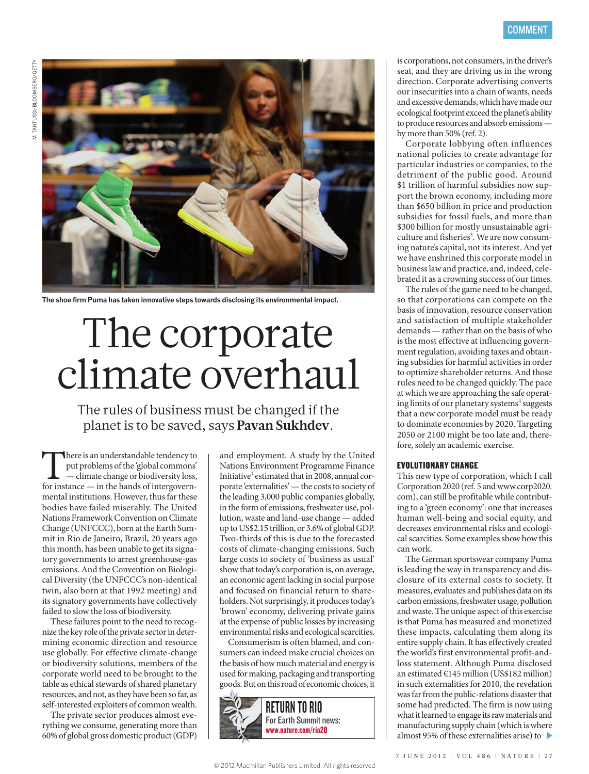

**The shoe firm Puma has taken innovative steps towards disclosing its environmental impact.** 

## The corporate climate overhaul

The rules of business must be changed if the planet is to be saved, says **Pavan Sukhdev**.

There is an understandable tendency to<br>
put problems of the 'global commons'<br>
— climate change or biodiversity loss,<br>
for instance — in the hands of intergovernput problems of the 'global commons' — climate change or biodiversity loss, mental institutions. However, thus far these bodies have failed miserably. The United Nations Framework Convention on Climate Change (UNFCCC), born at the Earth Summit in Rio de Janeiro, Brazil, 20 years ago this month, has been unable to get its signatory governments to arrest greenhouse-gas emissions. And the Convention on Biological Diversity (the UNFCCC's non-identical twin, also born at that 1992 meeting) and its signatory governments have collectively failed to slow the loss of biodiversity.

These failures point to the need to recognize the key role of the private sector in determining economic direction and resource use globally. For effective climate-change or biodiversity solutions, members of the corporate world need to be brought to the table as ethical stewards of shared planetary resources, and not, as they have been so far, as self-interested exploiters of common wealth.

The private sector produces almost everything we consume, generating more than 60% of global gross domestic product (GDP)

and employment. A study by the United Nations Environment Programme Finance Initiative<sup>1</sup> estimated that in 2008, annual corporate 'externalities' — the costs to society of the leading 3,000 public companies globally, in the form of emissions, freshwater use, pollution, waste and land-use change — added up to US\$2.15 trillion, or 3.6% of global GDP. Two-thirds of this is due to the forecasted costs of climate-changing emissions. Such large costs to society of 'business as usual' show that today's corporation is, on average, an economic agent lacking in social purpose and focused on financial return to shareholders. Not surprisingly, it produces today's 'brown' economy, delivering private gains at the expense of public losses by increasing environmental risks and ecological scarcities.

Consumerism is often blamed, and consumers can indeed make crucial choices on the basis of how much material and energy is used for making, packaging and transporting goods. But on this road of economic choices, it



is corporations, not consumers, in the driver's seat, and they are driving us in the wrong direction. Corporate advertising converts our insecurities into a chain of wants, needs and excessive demands, which have made our ecological footprint exceed the planet's ability to produce resources and absorb emissions by more than 50% (ref. 2).

Corporate lobbying often influences national policies to create advantage for particular industries or companies, to the detriment of the public good. Around \$1 trillion of harmful subsidies now support the brown economy, including more than \$650 billion in price and production subsidies for fossil fuels, and more than \$300 billion for mostly unsustainable agriculture and fisheries<sup>3</sup>. We are now consuming nature's capital, not its interest. And yet we have enshrined this corporate model in business law and practice, and, indeed, celebrated it as a crowning success of our times.

The rules of the game need to be changed, so that corporations can compete on the basis of innovation, resource conservation and satisfaction of multiple stakeholder demands — rather than on the basis of who is the most effective at influencing government regulation, avoiding taxes and obtaining subsidies for harmful activities in order to optimize shareholder returns. And those rules need to be changed quickly. The pace at which we are approaching the safe operating limits of our planetary systems<sup>4</sup> suggests that a new corporate model must be ready to dominate economies by 2020. Targeting 2050 or 2100 might be too late and, therefore, solely an academic exercise.

## EVOLUTIONARY CHANGE

This new type of corporation, which I call Corporation 2020 (ref. 5 and www.corp2020. com), can still be profitable while contributing to a 'green economy': one that increases human well-being and social equity, and decreases environmental risks and ecological scarcities. Some examples show how this can work.

The German sportswear company Puma is leading the way in transparency and disclosure of its external costs to society. It measures, evaluates and publishes data on its carbon emissions, freshwater usage, pollution and waste. The unique aspect of this exercise is that Puma has measured and monetized these impacts, calculating them along its entire supply chain. It has effectively created the world's first environmental profit-andloss statement. Although Puma disclosed an estimated €145 million (US\$182 million) in such externalities for 2010, the revelation was far from the public-relations disaster that some had predicted. The firm is now using what it learned to engage its raw materials and manufacturing supply chain (which is where almost 95% of these externalities arise) to